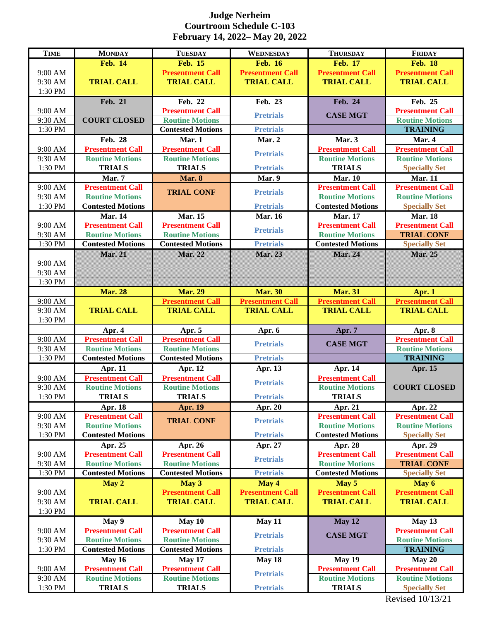## **Judge Nerheim Courtroom Schedule C-103 February 14, 2022– May 20, 2022**

| <b>TIME</b>        | <b>MONDAY</b>                           | <b>TUESDAY</b>                          | WEDNESDAY               | <b>THURSDAY</b>                         | <b>FRIDAY</b>                                  |
|--------------------|-----------------------------------------|-----------------------------------------|-------------------------|-----------------------------------------|------------------------------------------------|
|                    | <b>Feb. 14</b>                          | <b>Feb. 15</b>                          | <b>Feb. 16</b>          | <b>Feb. 17</b>                          | <b>Feb. 18</b>                                 |
| 9:00 AM            |                                         | <b>Presentment Call</b>                 | <b>Presentment Call</b> | <b>Presentment Call</b>                 | <b>Presentment Call</b>                        |
| 9:30 AM            | <b>TRIAL CALL</b>                       | <b>TRIAL CALL</b>                       | <b>TRIAL CALL</b>       | <b>TRIAL CALL</b>                       | <b>TRIAL CALL</b>                              |
| 1:30 PM            |                                         |                                         |                         |                                         |                                                |
|                    | Feb. 21                                 | Feb. 22                                 | Feb. 23                 | Feb. 24                                 | Feb. 25                                        |
| 9:00 AM            |                                         | <b>Presentment Call</b>                 | <b>Pretrials</b>        | <b>CASE MGT</b>                         | <b>Presentment Call</b>                        |
| 9:30 AM            | <b>COURT CLOSED</b>                     | <b>Routine Motions</b>                  |                         |                                         | <b>Routine Motions</b>                         |
| 1:30 PM            |                                         | <b>Contested Motions</b>                | <b>Pretrials</b>        |                                         | <b>TRAINING</b>                                |
|                    | Feb. 28                                 | Mar. 1                                  | Mar. 2                  | Mar. 3                                  | Mar. 4                                         |
| 9:00 AM            | <b>Presentment Call</b>                 | <b>Presentment Call</b>                 |                         | <b>Presentment Call</b>                 | <b>Presentment Call</b>                        |
| 9:30 AM            | <b>Routine Motions</b>                  | <b>Routine Motions</b>                  | <b>Pretrials</b>        | <b>Routine Motions</b>                  | <b>Routine Motions</b>                         |
| 1:30 PM            | <b>TRIALS</b>                           | <b>TRIALS</b>                           | <b>Pretrials</b>        | <b>TRIALS</b>                           | <b>Specially Set</b>                           |
|                    | Mar. 7                                  | Mar. 8                                  | Mar. 9                  | <b>Mar. 10</b>                          | <b>Mar. 11</b>                                 |
| 9:00 AM            | <b>Presentment Call</b>                 |                                         |                         | <b>Presentment Call</b>                 | <b>Presentment Call</b>                        |
| 9:30 AM            | <b>Routine Motions</b>                  | <b>TRIAL CONF</b>                       | <b>Pretrials</b>        | <b>Routine Motions</b>                  | <b>Routine Motions</b>                         |
| 1:30 PM            | <b>Contested Motions</b>                |                                         | <b>Pretrials</b>        | <b>Contested Motions</b>                | <b>Specially Set</b>                           |
|                    | <b>Mar. 14</b>                          | <b>Mar. 15</b>                          | <b>Mar. 16</b>          | <b>Mar. 17</b>                          | <b>Mar. 18</b>                                 |
| 9:00 AM            | <b>Presentment Call</b>                 | <b>Presentment Call</b>                 |                         | <b>Presentment Call</b>                 | <b>Presentment Call</b>                        |
| 9:30 AM            | <b>Routine Motions</b>                  | <b>Routine Motions</b>                  | <b>Pretrials</b>        | <b>Routine Motions</b>                  | <b>TRIAL CONF</b>                              |
| 1:30 PM            | <b>Contested Motions</b>                | <b>Contested Motions</b>                | <b>Pretrials</b>        | <b>Contested Motions</b>                | <b>Specially Set</b>                           |
|                    | <b>Mar. 21</b>                          | <b>Mar. 22</b>                          | Mar. 23                 | <b>Mar. 24</b>                          | <b>Mar. 25</b>                                 |
| 9:00 AM            |                                         |                                         |                         |                                         |                                                |
| 9:30 AM            |                                         |                                         |                         |                                         |                                                |
| 1:30 PM            |                                         |                                         |                         |                                         |                                                |
|                    | <b>Mar. 28</b>                          | <b>Mar. 29</b>                          | <b>Mar. 30</b>          | <b>Mar. 31</b>                          | Apr. 1                                         |
| 9:00 AM            |                                         | <b>Presentment Call</b>                 | <b>Presentment Call</b> | <b>Presentment Call</b>                 | <b>Presentment Call</b>                        |
| 9:30 AM            | <b>TRIAL CALL</b>                       | <b>TRIAL CALL</b>                       | <b>TRIAL CALL</b>       | <b>TRIAL CALL</b>                       | <b>TRIAL CALL</b>                              |
| 1:30 PM            |                                         |                                         |                         |                                         |                                                |
|                    | Apr. 4                                  | Apr. 5                                  | Apr. 6                  | Apr. 7                                  | Apr. 8                                         |
| 9:00 AM            | <b>Presentment Call</b>                 | <b>Presentment Call</b>                 |                         |                                         | <b>Presentment Call</b>                        |
| 9:30 AM            |                                         |                                         | <b>Pretrials</b>        | <b>CASE MGT</b>                         |                                                |
|                    |                                         |                                         |                         |                                         |                                                |
|                    | <b>Routine Motions</b>                  | <b>Routine Motions</b>                  |                         |                                         | <b>Routine Motions</b>                         |
| 1:30 PM            | <b>Contested Motions</b>                | <b>Contested Motions</b>                | <b>Pretrials</b>        |                                         | <b>TRAINING</b>                                |
|                    | Apr. 11                                 | Apr. 12                                 | Apr. 13                 | Apr. 14                                 | Apr. 15                                        |
| 9:00 AM            | <b>Presentment Call</b>                 | <b>Presentment Call</b>                 | <b>Pretrials</b>        | <b>Presentment Call</b>                 |                                                |
| 9:30 AM            | <b>Routine Motions</b>                  | <b>Routine Motions</b>                  |                         | <b>Routine Motions</b>                  | <b>COURT CLOSED</b>                            |
| 1:30 PM            | <b>TRIALS</b>                           | <b>TRIALS</b>                           | <b>Pretrials</b>        | <b>TRIALS</b>                           |                                                |
|                    | Apr. 18                                 | Apr. 19                                 | Apr. 20                 | Apr. 21                                 | Apr. 22                                        |
| 9:00 AM            | <b>Presentment Call</b>                 | <b>TRIAL CONF</b>                       | <b>Pretrials</b>        | <b>Presentment Call</b>                 | <b>Presentment Call</b>                        |
| 9:30 AM            | <b>Routine Motions</b>                  |                                         |                         | <b>Routine Motions</b>                  | <b>Routine Motions</b>                         |
| 1:30 PM            | <b>Contested Motions</b>                |                                         | <b>Pretrials</b>        | <b>Contested Motions</b>                | <b>Specially Set</b>                           |
|                    | Apr. 25                                 | Apr. 26                                 | Apr. 27                 | Apr. 28                                 | Apr. 29                                        |
| 9:00 AM            | <b>Presentment Call</b>                 | <b>Presentment Call</b>                 | <b>Pretrials</b>        | <b>Presentment Call</b>                 | <b>Presentment Call</b>                        |
| 9:30 AM            | <b>Routine Motions</b>                  | <b>Routine Motions</b>                  |                         | <b>Routine Motions</b>                  | <b>TRIAL CONF</b>                              |
| 1:30 PM            | <b>Contested Motions</b>                | <b>Contested Motions</b>                | <b>Pretrials</b>        | <b>Contested Motions</b>                | <b>Specially Set</b>                           |
|                    | May 2                                   | May 3                                   | May 4                   | May 5                                   | May 6                                          |
| 9:00 AM            |                                         | <b>Presentment Call</b>                 | <b>Presentment Call</b> | <b>Presentment Call</b>                 | <b>Presentment Call</b>                        |
| 9:30 AM            | <b>TRIAL CALL</b>                       | <b>TRIAL CALL</b>                       | <b>TRIAL CALL</b>       | <b>TRIAL CALL</b>                       | <b>TRIAL CALL</b>                              |
| 1:30 PM            |                                         |                                         |                         |                                         |                                                |
|                    | May 9                                   | May 10                                  | May 11                  | May 12                                  | May 13                                         |
| 9:00 AM            | <b>Presentment Call</b>                 | <b>Presentment Call</b>                 | <b>Pretrials</b>        | <b>CASE MGT</b>                         | <b>Presentment Call</b>                        |
| 9:30 AM            | <b>Routine Motions</b>                  | <b>Routine Motions</b>                  |                         |                                         | <b>Routine Motions</b>                         |
| 1:30 PM            | <b>Contested Motions</b>                | <b>Contested Motions</b>                | <b>Pretrials</b>        |                                         | <b>TRAINING</b>                                |
|                    | <b>May 16</b>                           | May 17                                  | May 18                  | <b>May 19</b>                           | May 20                                         |
| 9:00 AM            | <b>Presentment Call</b>                 | <b>Presentment Call</b>                 | <b>Pretrials</b>        | <b>Presentment Call</b>                 | <b>Presentment Call</b>                        |
| 9:30 AM<br>1:30 PM | <b>Routine Motions</b><br><b>TRIALS</b> | <b>Routine Motions</b><br><b>TRIALS</b> | <b>Pretrials</b>        | <b>Routine Motions</b><br><b>TRIALS</b> | <b>Routine Motions</b><br><b>Specially Set</b> |

Revised 10/13/21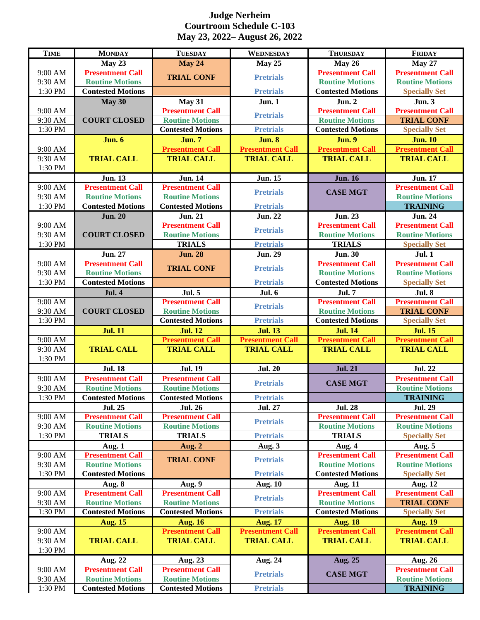## **Judge Nerheim Courtroom Schedule C-103 May 23, 2022– August 26, 2022**

| <b>TIME</b>        | <b>MONDAY</b>                                      | <b>TUESDAY</b>                                     | <b>WEDNESDAY</b>                     | <b>THURSDAY</b>          | <b>FRIDAY</b>                             |
|--------------------|----------------------------------------------------|----------------------------------------------------|--------------------------------------|--------------------------|-------------------------------------------|
|                    | May 23                                             | <b>May 24</b>                                      | May 25                               | May 26                   | <b>May 27</b>                             |
| 9:00 AM            | <b>Presentment Call</b>                            |                                                    |                                      | <b>Presentment Call</b>  | <b>Presentment Call</b>                   |
| 9:30 AM            | <b>Routine Motions</b>                             | <b>TRIAL CONF</b>                                  | <b>Pretrials</b>                     | <b>Routine Motions</b>   | <b>Routine Motions</b>                    |
| 1:30 PM            | <b>Contested Motions</b>                           |                                                    | <b>Pretrials</b>                     | <b>Contested Motions</b> | <b>Specially Set</b>                      |
|                    | May 30                                             | <b>May 31</b>                                      | <b>Jun. 1</b>                        | <b>Jun. 2</b>            | <b>Jun. 3</b>                             |
| 9:00 AM            |                                                    | <b>Presentment Call</b>                            | <b>Pretrials</b>                     | <b>Presentment Call</b>  | <b>Presentment Call</b>                   |
| 9:30 AM            | <b>COURT CLOSED</b>                                | <b>Routine Motions</b>                             |                                      | <b>Routine Motions</b>   | <b>TRIAL CONF</b>                         |
| 1:30 PM            |                                                    | <b>Contested Motions</b>                           | <b>Pretrials</b>                     | <b>Contested Motions</b> | <b>Specially Set</b>                      |
|                    | <b>Jun. 6</b>                                      | <b>Jun. 7</b>                                      | <b>Jun. 8</b>                        | <b>Jun. 9</b>            | <b>Jun. 10</b>                            |
| 9:00 AM            |                                                    | <b>Presentment Call</b>                            | <b>Presentment Call</b>              | <b>Presentment Call</b>  | <b>Presentment Call</b>                   |
| 9:30 AM            | <b>TRIAL CALL</b>                                  | <b>TRIAL CALL</b>                                  | <b>TRIAL CALL</b>                    | <b>TRIAL CALL</b>        | <b>TRIAL CALL</b>                         |
| 1:30 PM            |                                                    |                                                    |                                      |                          |                                           |
|                    | <b>Jun. 13</b>                                     | <b>Jun. 14</b>                                     | <b>Jun. 15</b>                       | <b>Jun. 16</b>           | <b>Jun. 17</b>                            |
| 9:00 AM            | <b>Presentment Call</b>                            | <b>Presentment Call</b>                            | <b>Pretrials</b>                     | <b>CASE MGT</b>          | <b>Presentment Call</b>                   |
| 9:30 AM            | <b>Routine Motions</b>                             | <b>Routine Motions</b>                             |                                      |                          | <b>Routine Motions</b>                    |
| 1:30 PM            | <b>Contested Motions</b>                           | <b>Contested Motions</b>                           | <b>Pretrials</b>                     |                          | <b>TRAINING</b>                           |
|                    | <b>Jun. 20</b>                                     | <b>Jun. 21</b>                                     | <b>Jun. 22</b>                       | <b>Jun. 23</b>           | <b>Jun. 24</b>                            |
| 9:00 AM            |                                                    | <b>Presentment Call</b>                            | <b>Pretrials</b>                     | <b>Presentment Call</b>  | <b>Presentment Call</b>                   |
| 9:30 AM            | <b>COURT CLOSED</b>                                | <b>Routine Motions</b>                             |                                      | <b>Routine Motions</b>   | <b>Routine Motions</b>                    |
| 1:30 PM            |                                                    | <b>TRIALS</b>                                      | <b>Pretrials</b>                     | <b>TRIALS</b>            | <b>Specially Set</b>                      |
|                    | <b>Jun. 27</b>                                     | <b>Jun. 28</b>                                     | <b>Jun. 29</b>                       | <b>Jun. 30</b>           | <b>Jul. 1</b>                             |
| 9:00 AM            | <b>Presentment Call</b>                            | <b>TRIAL CONF</b>                                  | <b>Pretrials</b>                     | <b>Presentment Call</b>  | <b>Presentment Call</b>                   |
| 9:30 AM            | <b>Routine Motions</b>                             |                                                    |                                      | <b>Routine Motions</b>   | <b>Routine Motions</b>                    |
| 1:30 PM            | <b>Contested Motions</b>                           |                                                    | <b>Pretrials</b>                     | <b>Contested Motions</b> | <b>Specially Set</b>                      |
|                    | <b>Jul. 4</b>                                      | <b>Jul. 5</b>                                      | <b>Jul. 6</b>                        | <b>Jul. 7</b>            | <b>Jul. 8</b>                             |
| 9:00 AM            |                                                    | <b>Presentment Call</b>                            |                                      | <b>Presentment Call</b>  | <b>Presentment Call</b>                   |
| 9:30 AM            | <b>COURT CLOSED</b>                                | <b>Routine Motions</b>                             | <b>Pretrials</b>                     | <b>Routine Motions</b>   | <b>TRIAL CONF</b>                         |
| 1:30 PM            |                                                    | <b>Contested Motions</b>                           | <b>Pretrials</b>                     | <b>Contested Motions</b> | <b>Specially Set</b>                      |
|                    | <b>Jul. 11</b>                                     | <b>Jul. 12</b>                                     | <b>Jul. 13</b>                       | <b>Jul. 14</b>           | <b>Jul. 15</b>                            |
| 9:00 AM            |                                                    | <b>Presentment Call</b>                            | <b>Presentment Call</b>              | <b>Presentment Call</b>  | <b>Presentment Call</b>                   |
| 9:30 AM            | <b>TRIAL CALL</b>                                  | <b>TRIAL CALL</b>                                  | <b>TRIAL CALL</b>                    | <b>TRIAL CALL</b>        | <b>TRIAL CALL</b>                         |
| 1:30 PM            |                                                    |                                                    |                                      |                          |                                           |
|                    | <b>Jul. 18</b>                                     | <b>Jul. 19</b>                                     | <b>Jul. 20</b>                       | <b>Jul. 21</b>           | <b>Jul. 22</b>                            |
| 9:00 AM            | <b>Presentment Call</b>                            | <b>Presentment Call</b>                            | <b>Pretrials</b>                     | <b>CASE MGT</b>          | <b>Presentment Call</b>                   |
| 9:30 AM            | <b>Routine Motions</b>                             | <b>Routine Motions</b>                             |                                      |                          | <b>Routine Motions</b>                    |
| 1:30 PM            | <b>Contested Motions</b>                           | <b>Contested Motions</b>                           | <b>Pretrials</b>                     |                          | <b>TRAINING</b>                           |
|                    | <b>Jul. 25</b>                                     | <b>Jul. 26</b>                                     | <b>Jul. 27</b>                       | <b>Jul. 28</b>           | <b>Jul. 29</b>                            |
| 9:00 AM            | <b>Presentment Call</b>                            | <b>Presentment Call</b>                            | <b>Pretrials</b>                     | <b>Presentment Call</b>  | <b>Presentment Call</b>                   |
| 9:30 AM            | <b>Routine Motions</b>                             | <b>Routine Motions</b>                             |                                      | <b>Routine Motions</b>   | <b>Routine Motions</b>                    |
| 1:30 PM            |                                                    |                                                    |                                      |                          |                                           |
|                    | <b>TRIALS</b>                                      | <b>TRIALS</b>                                      | <b>Pretrials</b>                     | <b>TRIALS</b>            | <b>Specially Set</b>                      |
|                    | Aug. 1                                             | Aug. 2                                             | Aug. 3                               | Aug. 4                   | Aug. 5                                    |
| 9:00 AM            | <b>Presentment Call</b>                            |                                                    |                                      | <b>Presentment Call</b>  | <b>Presentment Call</b>                   |
| 9:30 AM            | <b>Routine Motions</b>                             | <b>TRIAL CONF</b>                                  | <b>Pretrials</b>                     | <b>Routine Motions</b>   | <b>Routine Motions</b>                    |
| 1:30 PM            | <b>Contested Motions</b>                           |                                                    | <b>Pretrials</b>                     | <b>Contested Motions</b> | <b>Specially Set</b>                      |
|                    | Aug. 8                                             | Aug. 9                                             | <b>Aug. 10</b>                       | <b>Aug. 11</b>           | <b>Aug. 12</b>                            |
| 9:00 AM            | <b>Presentment Call</b>                            | <b>Presentment Call</b>                            |                                      | <b>Presentment Call</b>  | <b>Presentment Call</b>                   |
| 9:30 AM            | <b>Routine Motions</b>                             | <b>Routine Motions</b>                             | <b>Pretrials</b>                     | <b>Routine Motions</b>   | <b>TRIAL CONF</b>                         |
| 1:30 PM            | <b>Contested Motions</b>                           | <b>Contested Motions</b>                           | <b>Pretrials</b>                     | <b>Contested Motions</b> | <b>Specially Set</b>                      |
|                    | <b>Aug. 15</b>                                     | <b>Aug. 16</b>                                     | <b>Aug. 17</b>                       | <b>Aug. 18</b>           | <b>Aug. 19</b>                            |
| 9:00 AM            |                                                    | <b>Presentment Call</b>                            | <b>Presentment Call</b>              | <b>Presentment Call</b>  | <b>Presentment Call</b>                   |
| 9:30 AM            | <b>TRIAL CALL</b>                                  | <b>TRIAL CALL</b>                                  | <b>TRIAL CALL</b>                    | <b>TRIAL CALL</b>        | <b>TRIAL CALL</b>                         |
| 1:30 PM            |                                                    |                                                    |                                      |                          |                                           |
|                    | Aug. 22                                            | Aug. 23                                            | Aug. 24                              | Aug. 25                  | <b>Aug. 26</b>                            |
| 9:00 AM            | <b>Presentment Call</b>                            | <b>Presentment Call</b>                            |                                      |                          | <b>Presentment Call</b>                   |
| 9:30 AM<br>1:30 PM | <b>Routine Motions</b><br><b>Contested Motions</b> | <b>Routine Motions</b><br><b>Contested Motions</b> | <b>Pretrials</b><br><b>Pretrials</b> | <b>CASE MGT</b>          | <b>Routine Motions</b><br><b>TRAINING</b> |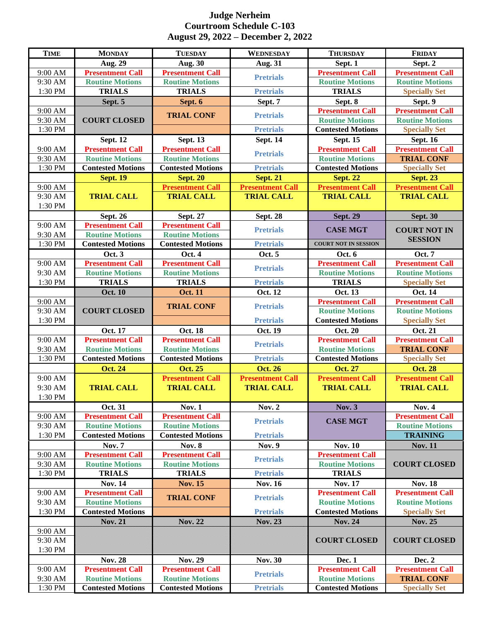## **Judge Nerheim Courtroom Schedule C-103 August 29, 2022 – December 2, 2022**

| <b>TIME</b>         | <b>MONDAY</b>                                      | <b>TUESDAY</b>                                    | <b>WEDNESDAY</b>                             | <b>THURSDAY</b>             | <b>FRIDAY</b>                             |
|---------------------|----------------------------------------------------|---------------------------------------------------|----------------------------------------------|-----------------------------|-------------------------------------------|
|                     | Aug. 29                                            | Aug. 30                                           | <b>Aug. 31</b>                               | Sept. 1                     | Sept. 2                                   |
| 9:00 AM             | <b>Presentment Call</b>                            | <b>Presentment Call</b>                           | <b>Pretrials</b>                             | <b>Presentment Call</b>     | <b>Presentment Call</b>                   |
| 9:30 AM             | <b>Routine Motions</b>                             | <b>Routine Motions</b>                            |                                              | <b>Routine Motions</b>      | <b>Routine Motions</b>                    |
| $1:30 \text{ PM}$   | <b>TRIALS</b>                                      | <b>TRIALS</b>                                     | <b>Pretrials</b>                             | <b>TRIALS</b>               | <b>Specially Set</b>                      |
|                     | Sept. 5                                            | Sept. 6                                           | Sept. 7                                      | Sept. 8                     | Sept. 9                                   |
| 9:00 AM             |                                                    | <b>TRIAL CONF</b>                                 | <b>Pretrials</b>                             | <b>Presentment Call</b>     | <b>Presentment Call</b>                   |
| 9:30 AM             | <b>COURT CLOSED</b>                                |                                                   |                                              | <b>Routine Motions</b>      | <b>Routine Motions</b>                    |
| 1:30 PM             |                                                    |                                                   | <b>Pretrials</b>                             | <b>Contested Motions</b>    | <b>Specially Set</b>                      |
|                     | <b>Sept. 12</b>                                    | <b>Sept. 13</b>                                   | <b>Sept. 14</b>                              | <b>Sept. 15</b>             | <b>Sept. 16</b>                           |
| 9:00 AM             | <b>Presentment Call</b>                            | <b>Presentment Call</b>                           | <b>Pretrials</b>                             | <b>Presentment Call</b>     | <b>Presentment Call</b>                   |
| 9:30 AM             | <b>Routine Motions</b>                             | <b>Routine Motions</b>                            |                                              | <b>Routine Motions</b>      | <b>TRIAL CONF</b>                         |
| 1:30 PM             | <b>Contested Motions</b>                           | <b>Contested Motions</b>                          | <b>Pretrials</b>                             | <b>Contested Motions</b>    | <b>Specially Set</b>                      |
|                     | <b>Sept. 19</b>                                    | <b>Sept. 20</b>                                   | <b>Sept. 21</b>                              | <b>Sept. 22</b>             | <b>Sept. 23</b>                           |
| 9:00 AM<br>9:30 AM  |                                                    | <b>Presentment Call</b>                           | <b>Presentment Call</b><br><b>TRIAL CALL</b> | <b>Presentment Call</b>     | <b>Presentment Call</b>                   |
| 1:30 PM             | <b>TRIAL CALL</b>                                  | <b>TRIAL CALL</b>                                 |                                              | <b>TRIAL CALL</b>           | <b>TRIAL CALL</b>                         |
|                     | Sept. 26                                           | <b>Sept. 27</b>                                   | <b>Sept. 28</b>                              | <b>Sept. 29</b>             | <b>Sept. 30</b>                           |
| 9:00 AM             | <b>Presentment Call</b>                            | <b>Presentment Call</b>                           |                                              |                             |                                           |
| 9:30 AM             | <b>Routine Motions</b>                             | <b>Routine Motions</b>                            | <b>Pretrials</b>                             | <b>CASE MGT</b>             | <b>COURT NOT IN</b>                       |
| 1:30 PM             | <b>Contested Motions</b>                           | <b>Contested Motions</b>                          | <b>Pretrials</b>                             | <b>COURT NOT IN SESSION</b> | <b>SESSION</b>                            |
|                     | <b>Oct. 3</b>                                      | Oct. 4                                            | Oct. 5                                       | Oct. 6                      | <b>Oct. 7</b>                             |
| 9:00 AM             | <b>Presentment Call</b>                            | <b>Presentment Call</b>                           |                                              | <b>Presentment Call</b>     | <b>Presentment Call</b>                   |
| 9:30 AM             | <b>Routine Motions</b>                             | <b>Routine Motions</b>                            | <b>Pretrials</b>                             | <b>Routine Motions</b>      | <b>Routine Motions</b>                    |
| 1:30 PM             | <b>TRIALS</b>                                      | <b>TRIALS</b>                                     | <b>Pretrials</b>                             | <b>TRIALS</b>               | <b>Specially Set</b>                      |
|                     | <b>Oct. 10</b>                                     | <b>Oct. 11</b>                                    | Oct. 12                                      | Oct. 13                     | <b>Oct. 14</b>                            |
| 9:00 AM             |                                                    |                                                   |                                              | <b>Presentment Call</b>     | <b>Presentment Call</b>                   |
| 9:30 AM             | <b>COURT CLOSED</b>                                | <b>TRIAL CONF</b>                                 | <b>Pretrials</b>                             | <b>Routine Motions</b>      | <b>Routine Motions</b>                    |
| 1:30 PM             |                                                    |                                                   | <b>Pretrials</b>                             | <b>Contested Motions</b>    | <b>Specially Set</b>                      |
|                     | Oct. 17                                            | <b>Oct. 18</b>                                    | Oct. 19                                      | <b>Oct. 20</b>              | Oct. 21                                   |
| 9:00 AM             | <b>Presentment Call</b>                            | <b>Presentment Call</b>                           | <b>Pretrials</b>                             | <b>Presentment Call</b>     | <b>Presentment Call</b>                   |
| 9:30 AM             | <b>Routine Motions</b>                             | <b>Routine Motions</b>                            |                                              | <b>Routine Motions</b>      | <b>TRIAL CONF</b>                         |
| 1:30 PM             | <b>Contested Motions</b>                           | <b>Contested Motions</b>                          | <b>Pretrials</b>                             | <b>Contested Motions</b>    | <b>Specially Set</b>                      |
|                     | <b>Oct. 24</b>                                     | <b>Oct. 25</b>                                    | <b>Oct. 26</b>                               | <b>Oct. 27</b>              | <b>Oct. 28</b>                            |
| 9:00 AM             |                                                    | <b>Presentment Call</b>                           | <b>Presentment Call</b>                      | <b>Presentment Call</b>     | <b>Presentment Call</b>                   |
| 9:30 AM             | <b>TRIAL CALL</b>                                  | <b>TRIAL CALL</b>                                 | <b>TRIAL CALL</b>                            | <b>TRIAL CALL</b>           | <b>TRIAL CALL</b>                         |
| $1:30\ \mathrm{PM}$ |                                                    |                                                   |                                              |                             |                                           |
|                     | Oct. 31                                            | <b>Nov. 1</b>                                     | <b>Nov. 2</b>                                | <b>Nov. 3</b>               | <b>Nov. 4</b>                             |
| 9:00 AM             | <b>Presentment Call</b>                            | <b>Presentment Call</b><br><b>Routine Motions</b> | <b>Pretrials</b>                             | <b>CASE MGT</b>             | <b>Presentment Call</b>                   |
| 9:30 AM<br>1:30 PM  | <b>Routine Motions</b><br><b>Contested Motions</b> | <b>Contested Motions</b>                          | <b>Pretrials</b>                             |                             | <b>Routine Motions</b><br><b>TRAINING</b> |
|                     | <b>Nov. 7</b>                                      | <b>Nov. 8</b>                                     | <b>Nov. 9</b>                                | <b>Nov. 10</b>              | <b>Nov. 11</b>                            |
| 9:00 AM             | <b>Presentment Call</b>                            | <b>Presentment Call</b>                           |                                              | <b>Presentment Call</b>     |                                           |
| 9:30 AM             | <b>Routine Motions</b>                             | <b>Routine Motions</b>                            | <b>Pretrials</b>                             | <b>Routine Motions</b>      | <b>COURT CLOSED</b>                       |
| 1:30 PM             | <b>TRIALS</b>                                      | <b>TRIALS</b>                                     | <b>Pretrials</b>                             | <b>TRIALS</b>               |                                           |
|                     | <b>Nov. 14</b>                                     | <b>Nov. 15</b>                                    | <b>Nov. 16</b>                               | <b>Nov. 17</b>              | <b>Nov. 18</b>                            |
| 9:00 AM             | <b>Presentment Call</b>                            |                                                   |                                              | <b>Presentment Call</b>     | <b>Presentment Call</b>                   |
| 9:30 AM             | <b>Routine Motions</b>                             | <b>TRIAL CONF</b>                                 | <b>Pretrials</b>                             | <b>Routine Motions</b>      | <b>Routine Motions</b>                    |
| 1:30 PM             | <b>Contested Motions</b>                           |                                                   | <b>Pretrials</b>                             | <b>Contested Motions</b>    | <b>Specially Set</b>                      |
|                     | Nov. 21                                            | Nov. 22                                           | $\textbf{Nov. } 23$                          | <b>Nov. 24</b>              | <b>Nov. 25</b>                            |
| 9:00 AM             |                                                    |                                                   |                                              |                             |                                           |
| 9:30 AM             |                                                    |                                                   |                                              | <b>COURT CLOSED</b>         | <b>COURT CLOSED</b>                       |
| 1:30 PM             |                                                    |                                                   |                                              |                             |                                           |
|                     | <b>Nov. 28</b>                                     | <b>Nov. 29</b>                                    | <b>Nov. 30</b>                               | Dec. 1                      | Dec. 2                                    |
| 9:00 AM             | <b>Presentment Call</b>                            | <b>Presentment Call</b>                           | <b>Pretrials</b>                             | <b>Presentment Call</b>     | <b>Presentment Call</b>                   |
| 9:30 AM             | <b>Routine Motions</b>                             | <b>Routine Motions</b>                            |                                              | <b>Routine Motions</b>      | <b>TRIAL CONF</b>                         |
| 1:30 PM             | <b>Contested Motions</b>                           | <b>Contested Motions</b>                          | <b>Pretrials</b>                             | <b>Contested Motions</b>    | <b>Specially Set</b>                      |